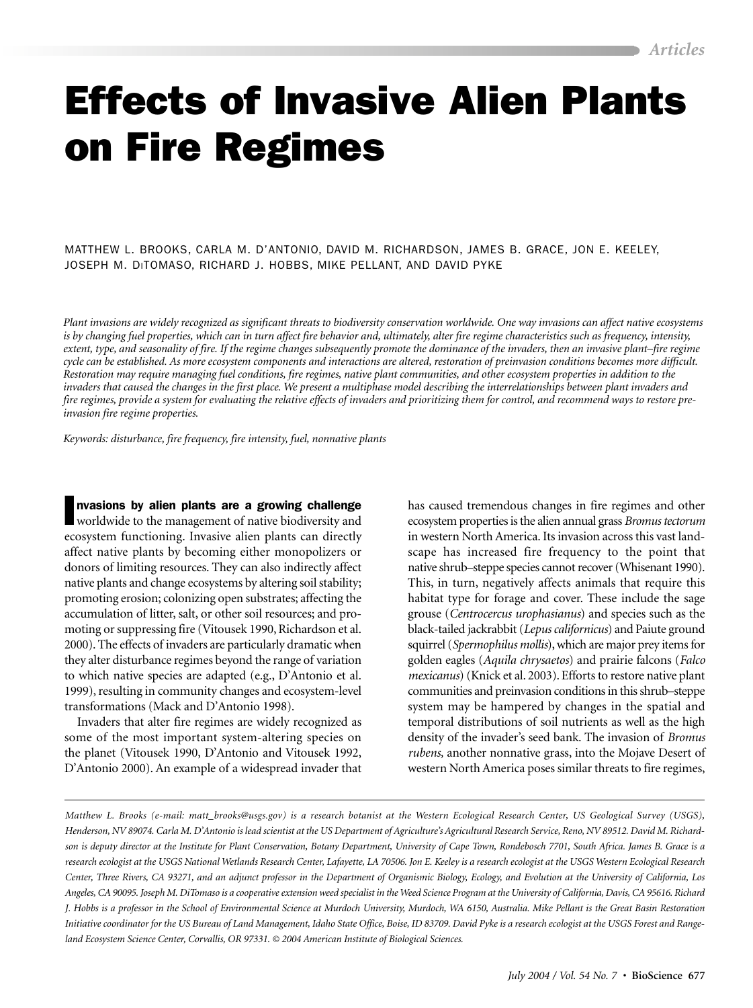# Effects of Invasive Alien Plants on Fire Regimes

MATTHEW L. BROOKS, CARLA M. D'ANTONIO, DAVID M. RICHARDSON, JAMES B. GRACE, JON E. KEELEY, JOSEPH M. DITOMASO, RICHARD J. HOBBS, MIKE PELLANT, AND DAVID PYKE

*Plant invasions are widely recognized as significant threats to biodiversity conservation worldwide. One way invasions can affect native ecosystems is by changing fuel properties, which can in turn affect fire behavior and, ultimately, alter fire regime characteristics such as frequency, intensity, extent, type, and seasonality of fire. If the regime changes subsequently promote the dominance of the invaders, then an invasive plant–fire regime cycle can be established. As more ecosystem components and interactions are altered, restoration of preinvasion conditions becomes more difficult. Restoration may require managing fuel conditions, fire regimes, native plant communities, and other ecosystem properties in addition to the invaders that caused the changes in the first place. We present a multiphase model describing the interrelationships between plant invaders and fire regimes, provide a system for evaluating the relative effects of invaders and prioritizing them for control, and recommend ways to restore preinvasion fire regime properties.*

*Keywords: disturbance, fire frequency, fire intensity, fuel, nonnative plants*

I nvasions by alien plants are a growing challenge worldwide to the management of native biodiversity and ecosystem functioning. Invasive alien plants can directly affect native plants by becoming either monopolizers or donors of limiting resources. They can also indirectly affect native plants and change ecosystems by altering soil stability; promoting erosion; colonizing open substrates; affecting the accumulation of litter, salt, or other soil resources; and promoting or suppressing fire (Vitousek 1990, Richardson et al. 2000). The effects of invaders are particularly dramatic when they alter disturbance regimes beyond the range of variation to which native species are adapted (e.g., D'Antonio et al. 1999), resulting in community changes and ecosystem-level transformations (Mack and D'Antonio 1998).

Invaders that alter fire regimes are widely recognized as some of the most important system-altering species on the planet (Vitousek 1990, D'Antonio and Vitousek 1992, D'Antonio 2000). An example of a widespread invader that

has caused tremendous changes in fire regimes and other ecosystem properties is the alien annual grass *Bromus tectorum* in western North America. Its invasion across this vast landscape has increased fire frequency to the point that native shrub–steppe species cannot recover (Whisenant 1990). This, in turn, negatively affects animals that require this habitat type for forage and cover. These include the sage grouse (*Centrocercus urophasianus*) and species such as the black-tailed jackrabbit (*Lepus californicus*) and Paiute ground squirrel (*Spermophilus mollis*), which are major prey items for golden eagles (*Aquila chrysaetos*) and prairie falcons (*Falco mexicanus*) (Knick et al. 2003). Efforts to restore native plant communities and preinvasion conditions in this shrub–steppe system may be hampered by changes in the spatial and temporal distributions of soil nutrients as well as the high density of the invader's seed bank. The invasion of *Bromus rubens,* another nonnative grass, into the Mojave Desert of western North America poses similar threats to fire regimes,

*Matthew L. Brooks (e-mail: matt\_brooks@usgs.gov) is a research botanist at the Western Ecological Research Center, US Geological Survey (USGS), Henderson, NV 89074. Carla M. D'Antonio is lead scientist at the US Department of Agriculture's Agricultural Research Service, Reno, NV 89512. David M. Richardson is deputy director at the Institute for Plant Conservation, Botany Department, University of Cape Town, Rondebosch 7701, South Africa. James B. Grace is a research ecologist at the USGS National Wetlands Research Center, Lafayette, LA 70506. Jon E. Keeley is a research ecologist at the USGS Western Ecological Research Center, Three Rivers, CA 93271, and an adjunct professor in the Department of Organismic Biology, Ecology, and Evolution at the University of California, Los Angeles, CA 90095. Joseph M. DiTomaso is a cooperative extension weed specialist in the Weed Science Program at the University of California, Davis, CA 95616. Richard J. Hobbs is a professor in the School of Environmental Science at Murdoch University, Murdoch, WA 6150, Australia. Mike Pellant is the Great Basin Restoration Initiative coordinator for the US Bureau of Land Management, Idaho State Office, Boise, ID 83709. David Pyke is a research ecologist at the USGS Forest and Rangeland Ecosystem Science Center, Corvallis, OR 97331. © 2004 American Institute of Biological Sciences.*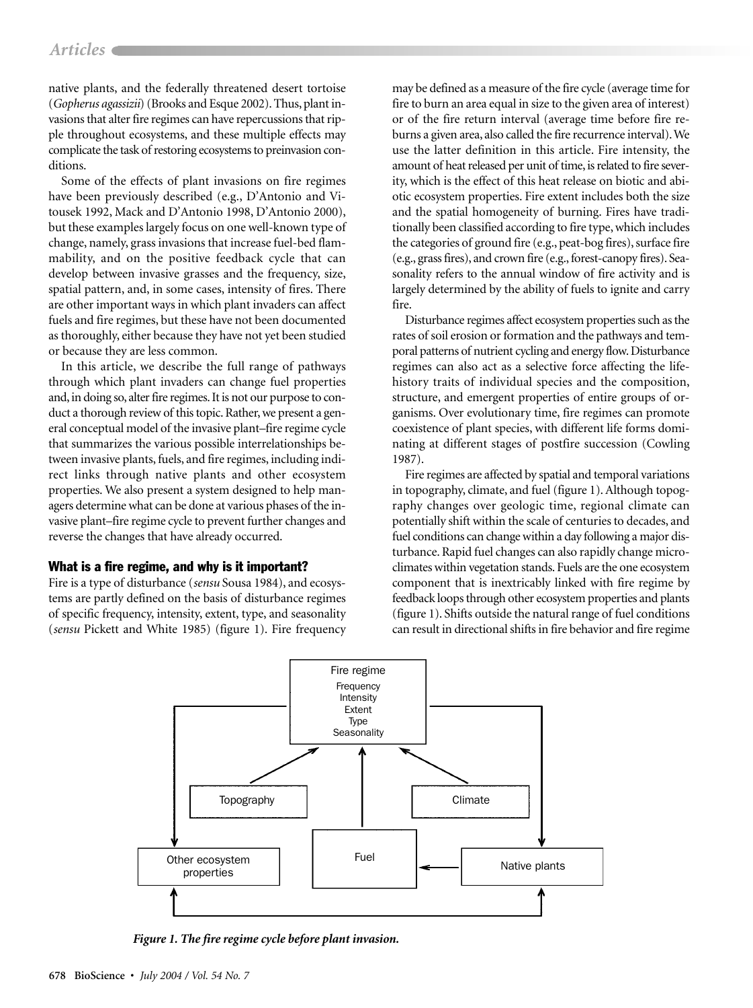# *Articles*

native plants, and the federally threatened desert tortoise (*Gopherus agassizii*) (Brooks and Esque 2002). Thus, plant invasions that alter fire regimes can have repercussions that ripple throughout ecosystems, and these multiple effects may complicate the task of restoring ecosystems to preinvasion conditions.

Some of the effects of plant invasions on fire regimes have been previously described (e.g., D'Antonio and Vitousek 1992, Mack and D'Antonio 1998, D'Antonio 2000), but these examples largely focus on one well-known type of change, namely, grass invasions that increase fuel-bed flammability, and on the positive feedback cycle that can develop between invasive grasses and the frequency, size, spatial pattern, and, in some cases, intensity of fires. There are other important ways in which plant invaders can affect fuels and fire regimes, but these have not been documented as thoroughly, either because they have not yet been studied or because they are less common.

In this article, we describe the full range of pathways through which plant invaders can change fuel properties and, in doing so, alter fire regimes. It is not our purpose to conduct a thorough review of this topic. Rather, we present a general conceptual model of the invasive plant–fire regime cycle that summarizes the various possible interrelationships between invasive plants, fuels, and fire regimes, including indirect links through native plants and other ecosystem properties. We also present a system designed to help managers determine what can be done at various phases of the invasive plant–fire regime cycle to prevent further changes and reverse the changes that have already occurred.

## What is a fire regime, and why is it important?

Fire is a type of disturbance (*sensu* Sousa 1984), and ecosystems are partly defined on the basis of disturbance regimes of specific frequency, intensity, extent, type, and seasonality (*sensu* Pickett and White 1985) (figure 1). Fire frequency may be defined as a measure of the fire cycle (average time for fire to burn an area equal in size to the given area of interest) or of the fire return interval (average time before fire reburns a given area, also called the fire recurrence interval). We use the latter definition in this article. Fire intensity, the amount of heat released per unit of time, is related to fire severity, which is the effect of this heat release on biotic and abiotic ecosystem properties. Fire extent includes both the size and the spatial homogeneity of burning. Fires have traditionally been classified according to fire type, which includes the categories of ground fire (e.g., peat-bog fires), surface fire (e.g., grass fires), and crown fire (e.g., forest-canopy fires). Seasonality refers to the annual window of fire activity and is largely determined by the ability of fuels to ignite and carry fire.

Disturbance regimes affect ecosystem properties such as the rates of soil erosion or formation and the pathways and temporal patterns of nutrient cycling and energy flow. Disturbance regimes can also act as a selective force affecting the lifehistory traits of individual species and the composition, structure, and emergent properties of entire groups of organisms. Over evolutionary time, fire regimes can promote coexistence of plant species, with different life forms dominating at different stages of postfire succession (Cowling 1987).

Fire regimes are affected by spatial and temporal variations in topography, climate, and fuel (figure 1). Although topography changes over geologic time, regional climate can potentially shift within the scale of centuries to decades, and fuel conditions can change within a day following a major disturbance. Rapid fuel changes can also rapidly change microclimates within vegetation stands. Fuels are the one ecosystem component that is inextricably linked with fire regime by feedback loops through other ecosystem properties and plants (figure 1). Shifts outside the natural range of fuel conditions can result in directional shifts in fire behavior and fire regime



*Figure 1. The fire regime cycle before plant invasion.*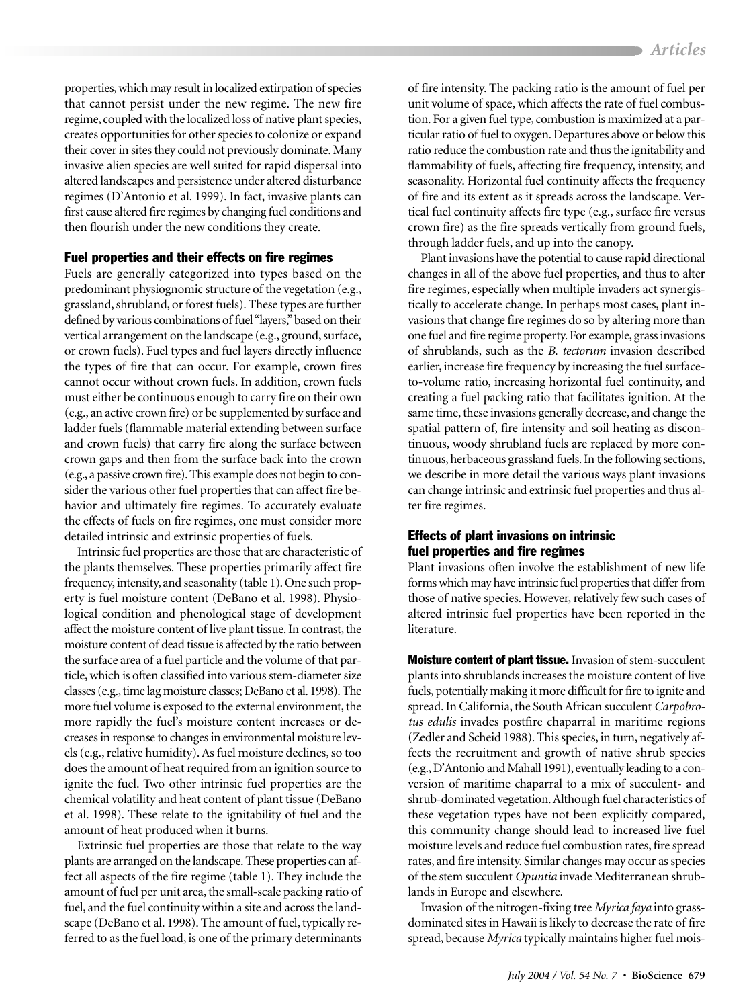properties, which may result in localized extirpation of species that cannot persist under the new regime. The new fire regime, coupled with the localized loss of native plant species, creates opportunities for other species to colonize or expand their cover in sites they could not previously dominate. Many invasive alien species are well suited for rapid dispersal into altered landscapes and persistence under altered disturbance regimes (D'Antonio et al. 1999). In fact, invasive plants can first cause altered fire regimes by changing fuel conditions and then flourish under the new conditions they create.

## Fuel properties and their effects on fire regimes

Fuels are generally categorized into types based on the predominant physiognomic structure of the vegetation (e.g., grassland, shrubland, or forest fuels). These types are further defined by various combinations of fuel "layers,"based on their vertical arrangement on the landscape (e.g., ground, surface, or crown fuels). Fuel types and fuel layers directly influence the types of fire that can occur. For example, crown fires cannot occur without crown fuels. In addition, crown fuels must either be continuous enough to carry fire on their own (e.g., an active crown fire) or be supplemented by surface and ladder fuels (flammable material extending between surface and crown fuels) that carry fire along the surface between crown gaps and then from the surface back into the crown (e.g., a passive crown fire). This example does not begin to consider the various other fuel properties that can affect fire behavior and ultimately fire regimes. To accurately evaluate the effects of fuels on fire regimes, one must consider more detailed intrinsic and extrinsic properties of fuels.

Intrinsic fuel properties are those that are characteristic of the plants themselves. These properties primarily affect fire frequency, intensity, and seasonality (table 1). One such property is fuel moisture content (DeBano et al. 1998). Physiological condition and phenological stage of development affect the moisture content of live plant tissue. In contrast, the moisture content of dead tissue is affected by the ratio between the surface area of a fuel particle and the volume of that particle, which is often classified into various stem-diameter size classes (e.g., time lag moisture classes; DeBano et al. 1998). The more fuel volume is exposed to the external environment, the more rapidly the fuel's moisture content increases or decreases in response to changes in environmental moisture levels (e.g., relative humidity). As fuel moisture declines, so too does the amount of heat required from an ignition source to ignite the fuel. Two other intrinsic fuel properties are the chemical volatility and heat content of plant tissue (DeBano et al. 1998). These relate to the ignitability of fuel and the amount of heat produced when it burns.

Extrinsic fuel properties are those that relate to the way plants are arranged on the landscape. These properties can affect all aspects of the fire regime (table 1). They include the amount of fuel per unit area, the small-scale packing ratio of fuel, and the fuel continuity within a site and across the landscape (DeBano et al. 1998). The amount of fuel, typically referred to as the fuel load, is one of the primary determinants of fire intensity. The packing ratio is the amount of fuel per unit volume of space, which affects the rate of fuel combustion. For a given fuel type, combustion is maximized at a particular ratio of fuel to oxygen. Departures above or below this ratio reduce the combustion rate and thus the ignitability and flammability of fuels, affecting fire frequency, intensity, and seasonality. Horizontal fuel continuity affects the frequency of fire and its extent as it spreads across the landscape. Vertical fuel continuity affects fire type (e.g., surface fire versus crown fire) as the fire spreads vertically from ground fuels, through ladder fuels, and up into the canopy.

Plant invasions have the potential to cause rapid directional changes in all of the above fuel properties, and thus to alter fire regimes, especially when multiple invaders act synergistically to accelerate change. In perhaps most cases, plant invasions that change fire regimes do so by altering more than one fuel and fire regime property. For example, grass invasions of shrublands, such as the *B. tectorum* invasion described earlier, increase fire frequency by increasing the fuel surfaceto-volume ratio, increasing horizontal fuel continuity, and creating a fuel packing ratio that facilitates ignition. At the same time, these invasions generally decrease, and change the spatial pattern of, fire intensity and soil heating as discontinuous, woody shrubland fuels are replaced by more continuous, herbaceous grassland fuels. In the following sections, we describe in more detail the various ways plant invasions can change intrinsic and extrinsic fuel properties and thus alter fire regimes.

# Effects of plant invasions on intrinsic fuel properties and fire regimes

Plant invasions often involve the establishment of new life forms which may have intrinsic fuel properties that differ from those of native species. However, relatively few such cases of altered intrinsic fuel properties have been reported in the literature.

Moisture content of plant tissue. Invasion of stem-succulent plants into shrublands increases the moisture content of live fuels, potentially making it more difficult for fire to ignite and spread. In California, the South African succulent *Carpobrotus edulis* invades postfire chaparral in maritime regions (Zedler and Scheid 1988). This species, in turn, negatively affects the recruitment and growth of native shrub species (e.g., D'Antonio and Mahall 1991), eventually leading to a conversion of maritime chaparral to a mix of succulent- and shrub-dominated vegetation. Although fuel characteristics of these vegetation types have not been explicitly compared, this community change should lead to increased live fuel moisture levels and reduce fuel combustion rates, fire spread rates, and fire intensity. Similar changes may occur as species of the stem succulent *Opuntia* invade Mediterranean shrublands in Europe and elsewhere.

Invasion of the nitrogen-fixing tree *Myrica faya* into grassdominated sites in Hawaii is likely to decrease the rate of fire spread, because *Myrica* typically maintains higher fuel mois-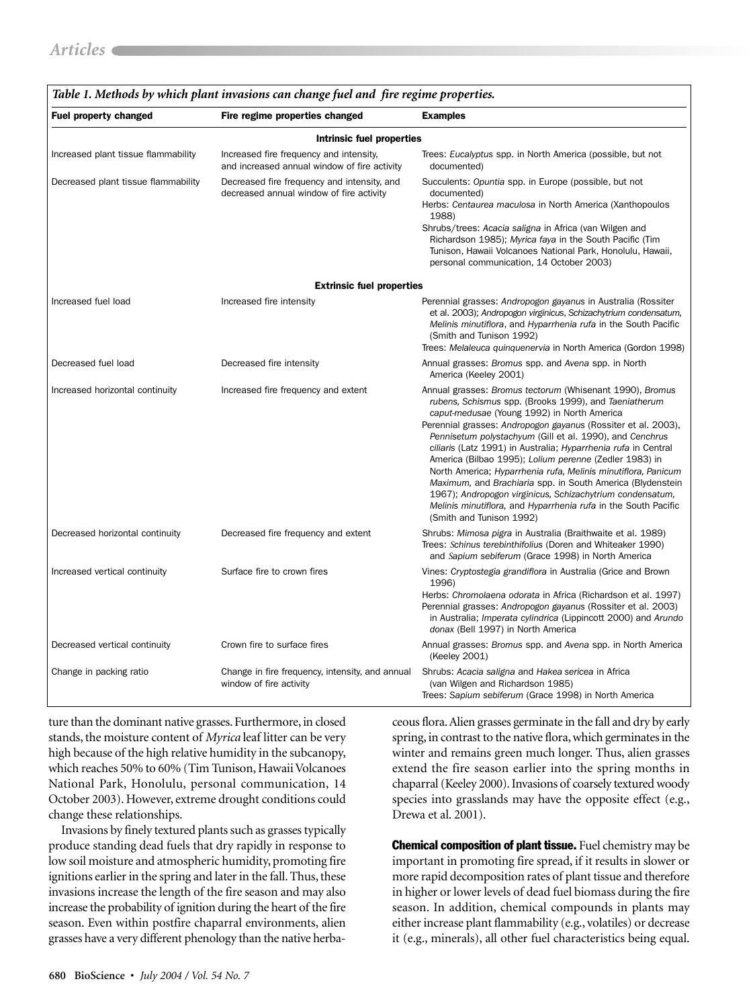|                                     | raoie rentendas of muen paint invasions can enanze paet ana pire regime properties.     |                                                                                                                                                                                                                                                                                                                                                                                                                                                                                                                                                                                                                                                                                                                     |  |
|-------------------------------------|-----------------------------------------------------------------------------------------|---------------------------------------------------------------------------------------------------------------------------------------------------------------------------------------------------------------------------------------------------------------------------------------------------------------------------------------------------------------------------------------------------------------------------------------------------------------------------------------------------------------------------------------------------------------------------------------------------------------------------------------------------------------------------------------------------------------------|--|
| <b>Fuel property changed</b>        | Fire regime properties changed                                                          | <b>Examples</b>                                                                                                                                                                                                                                                                                                                                                                                                                                                                                                                                                                                                                                                                                                     |  |
|                                     | Intrinsic fuel properties                                                               |                                                                                                                                                                                                                                                                                                                                                                                                                                                                                                                                                                                                                                                                                                                     |  |
| Increased plant tissue flammability | Increased fire frequency and intensity,<br>and increased annual window of fire activity | Trees: Eucalyptus spp. in North America (possible, but not<br>documented)                                                                                                                                                                                                                                                                                                                                                                                                                                                                                                                                                                                                                                           |  |
| Decreased plant tissue flammability | Decreased fire frequency and intensity, and<br>decreased annual window of fire activity | Succulents: Opuntia spp. in Europe (possible, but not<br>documented)<br>Herbs: Centaurea maculosa in North America (Xanthopoulos<br>1988)<br>Shrubs/trees: Acacia saligna in Africa (van Wilgen and<br>Richardson 1985); Myrica faya in the South Pacific (Tim<br>Tunison, Hawaii Volcanoes National Park, Honolulu, Hawaii,<br>personal communication, 14 October 2003)                                                                                                                                                                                                                                                                                                                                            |  |
|                                     | <b>Extrinsic fuel properties</b>                                                        |                                                                                                                                                                                                                                                                                                                                                                                                                                                                                                                                                                                                                                                                                                                     |  |
| Increased fuel load                 | Increased fire intensity                                                                | Perennial grasses: Andropogon gayanus in Australia (Rossiter<br>et al. 2003); Andropogon virginicus, Schizachytrium condensatum,<br>Melinis minutiflora, and Hyparrhenia rufa in the South Pacific<br>(Smith and Tunison 1992)<br>Trees: Melaleuca quinquenervia in North America (Gordon 1998)                                                                                                                                                                                                                                                                                                                                                                                                                     |  |
| Decreased fuel load                 | Decreased fire intensity                                                                | Annual grasses: Bromus spp. and Avena spp. in North<br>America (Keeley 2001)                                                                                                                                                                                                                                                                                                                                                                                                                                                                                                                                                                                                                                        |  |
| Increased horizontal continuity     | Increased fire frequency and extent                                                     | Annual grasses: Bromus tectorum (Whisenant 1990), Bromus<br>rubens, Schismus spp. (Brooks 1999), and Taeniatherum<br>caput-medusae (Young 1992) in North America<br>Perennial grasses: Andropogon gayanus (Rossiter et al. 2003),<br>Pennisetum polystachyum (Gill et al. 1990), and Cenchrus<br>ciliaris (Latz 1991) in Australia; Hyparrhenia rufa in Central<br>America (Bilbao 1995); Lolium perenne (Zedler 1983) in<br>North America; Hyparrhenia rufa, Melinis minutiflora, Panicum<br>Maximum, and Brachiaria spp. in South America (Blydenstein<br>1967); Andropogon virginicus, Schizachytrium condensatum,<br>Melinis minutiflora, and Hyparrhenia rufa in the South Pacific<br>(Smith and Tunison 1992) |  |
| Decreased horizontal continuity     | Decreased fire frequency and extent                                                     | Shrubs: Mimosa pigra in Australia (Braithwaite et al. 1989)<br>Trees: Schinus terebinthifolius (Doren and Whiteaker 1990)<br>and Sapium sebiferum (Grace 1998) in North America                                                                                                                                                                                                                                                                                                                                                                                                                                                                                                                                     |  |
| Increased vertical continuity       | Surface fire to crown fires                                                             | Vines: Cryptostegia grandiflora in Australia (Grice and Brown<br>1996)<br>Herbs: Chromolaena odorata in Africa (Richardson et al. 1997)<br>Perennial grasses: Andropogon gayanus (Rossiter et al. 2003)<br>in Australia; Imperata cylindrica (Lippincott 2000) and Arundo<br>donax (Bell 1997) in North America                                                                                                                                                                                                                                                                                                                                                                                                     |  |
| Decreased vertical continuity       | Crown fire to surface fires                                                             | Annual grasses: Bromus spp. and Avena spp. in North America<br>(Keeley 2001)                                                                                                                                                                                                                                                                                                                                                                                                                                                                                                                                                                                                                                        |  |
| Change in packing ratio             | Change in fire frequency, intensity, and annual<br>window of fire activity              | Shrubs: Acacia saligna and Hakea sericea in Africa<br>(van Wilgen and Richardson 1985)<br>Trees: Sapium sebiferum (Grace 1998) in North America                                                                                                                                                                                                                                                                                                                                                                                                                                                                                                                                                                     |  |

*Table 1. Methods by which plant invasions can change fuel and fire regime properties.*

ture than the dominant native grasses. Furthermore, in closed stands, the moisture content of *Myrica* leaf litter can be very high because of the high relative humidity in the subcanopy, which reaches 50% to 60% (Tim Tunison, Hawaii Volcanoes National Park, Honolulu, personal communication, 14 October 2003). However, extreme drought conditions could change these relationships.

Invasions by finely textured plants such as grasses typically produce standing dead fuels that dry rapidly in response to low soil moisture and atmospheric humidity, promoting fire ignitions earlier in the spring and later in the fall. Thus, these invasions increase the length of the fire season and may also increase the probability of ignition during the heart of the fire season. Even within postfire chaparral environments, alien grasses have a very different phenology than the native herba-

ceous flora.Alien grasses germinate in the fall and dry by early spring, in contrast to the native flora, which germinates in the winter and remains green much longer. Thus, alien grasses extend the fire season earlier into the spring months in chaparral (Keeley 2000). Invasions of coarsely textured woody species into grasslands may have the opposite effect (e.g., Drewa et al. 2001).

Chemical composition of plant tissue. Fuel chemistry may be important in promoting fire spread, if it results in slower or more rapid decomposition rates of plant tissue and therefore in higher or lower levels of dead fuel biomass during the fire season. In addition, chemical compounds in plants may either increase plant flammability (e.g., volatiles) or decrease it (e.g., minerals), all other fuel characteristics being equal.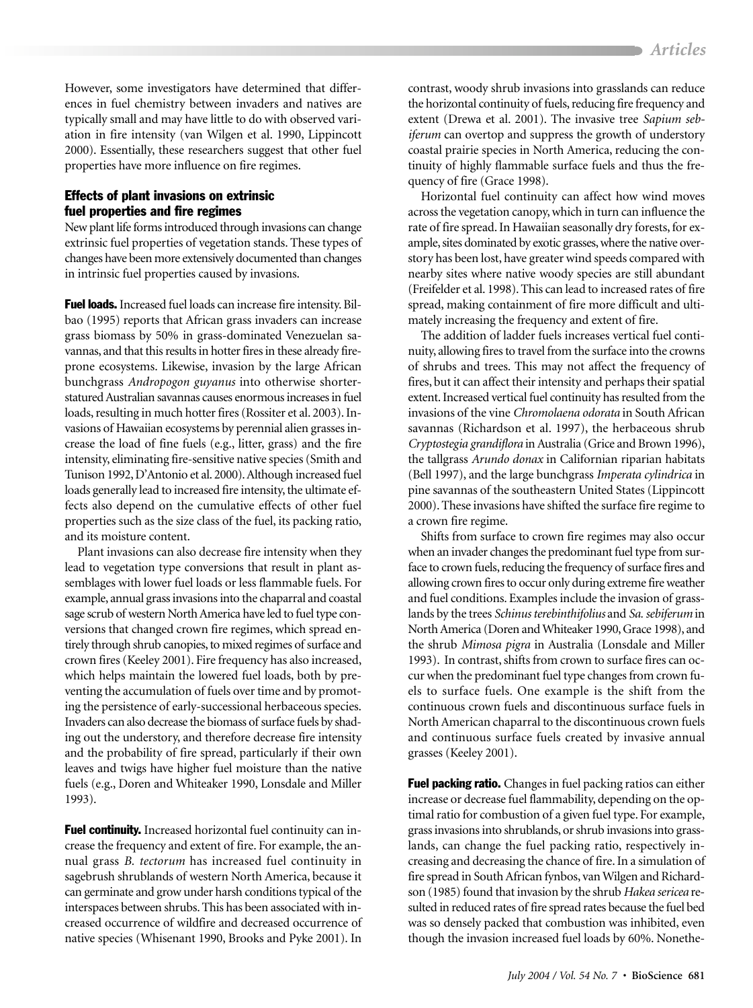However, some investigators have determined that differences in fuel chemistry between invaders and natives are typically small and may have little to do with observed variation in fire intensity (van Wilgen et al. 1990, Lippincott 2000). Essentially, these researchers suggest that other fuel properties have more influence on fire regimes.

## Effects of plant invasions on extrinsic fuel properties and fire regimes

New plant life forms introduced through invasions can change extrinsic fuel properties of vegetation stands. These types of changes have been more extensively documented than changes in intrinsic fuel properties caused by invasions.

Fuel loads. Increased fuel loads can increase fire intensity. Bilbao (1995) reports that African grass invaders can increase grass biomass by 50% in grass-dominated Venezuelan savannas, and that this results in hotter fires in these already fireprone ecosystems. Likewise, invasion by the large African bunchgrass *Andropogon guyanus* into otherwise shorterstatured Australian savannas causes enormous increases in fuel loads, resulting in much hotter fires (Rossiter et al. 2003). Invasions of Hawaiian ecosystems by perennial alien grasses increase the load of fine fuels (e.g., litter, grass) and the fire intensity, eliminating fire-sensitive native species (Smith and Tunison 1992, D'Antonio et al. 2000).Although increased fuel loads generally lead to increased fire intensity, the ultimate effects also depend on the cumulative effects of other fuel properties such as the size class of the fuel, its packing ratio, and its moisture content.

Plant invasions can also decrease fire intensity when they lead to vegetation type conversions that result in plant assemblages with lower fuel loads or less flammable fuels. For example, annual grass invasions into the chaparral and coastal sage scrub of western North America have led to fuel type conversions that changed crown fire regimes, which spread entirely through shrub canopies, to mixed regimes of surface and crown fires (Keeley 2001). Fire frequency has also increased, which helps maintain the lowered fuel loads, both by preventing the accumulation of fuels over time and by promoting the persistence of early-successional herbaceous species. Invaders can also decrease the biomass of surface fuels by shading out the understory, and therefore decrease fire intensity and the probability of fire spread, particularly if their own leaves and twigs have higher fuel moisture than the native fuels (e.g., Doren and Whiteaker 1990, Lonsdale and Miller 1993).

Fuel continuity. Increased horizontal fuel continuity can increase the frequency and extent of fire. For example, the annual grass *B. tectorum* has increased fuel continuity in sagebrush shrublands of western North America, because it can germinate and grow under harsh conditions typical of the interspaces between shrubs. This has been associated with increased occurrence of wildfire and decreased occurrence of native species (Whisenant 1990, Brooks and Pyke 2001). In contrast, woody shrub invasions into grasslands can reduce the horizontal continuity of fuels, reducing fire frequency and extent (Drewa et al. 2001). The invasive tree *Sapium sebiferum* can overtop and suppress the growth of understory coastal prairie species in North America, reducing the continuity of highly flammable surface fuels and thus the frequency of fire (Grace 1998).

Horizontal fuel continuity can affect how wind moves across the vegetation canopy, which in turn can influence the rate of fire spread. In Hawaiian seasonally dry forests, for example, sites dominated by exotic grasses, where the native overstory has been lost, have greater wind speeds compared with nearby sites where native woody species are still abundant (Freifelder et al. 1998). This can lead to increased rates of fire spread, making containment of fire more difficult and ultimately increasing the frequency and extent of fire.

The addition of ladder fuels increases vertical fuel continuity, allowing fires to travel from the surface into the crowns of shrubs and trees. This may not affect the frequency of fires, but it can affect their intensity and perhaps their spatial extent. Increased vertical fuel continuity has resulted from the invasions of the vine *Chromolaena odorata* in South African savannas (Richardson et al. 1997), the herbaceous shrub *Cryptostegia grandiflora* in Australia (Grice and Brown 1996), the tallgrass *Arundo donax* in Californian riparian habitats (Bell 1997), and the large bunchgrass *Imperata cylindrica* in pine savannas of the southeastern United States (Lippincott 2000). These invasions have shifted the surface fire regime to a crown fire regime.

Shifts from surface to crown fire regimes may also occur when an invader changes the predominant fuel type from surface to crown fuels, reducing the frequency of surface fires and allowing crown fires to occur only during extreme fire weather and fuel conditions. Examples include the invasion of grasslands by the trees *Schinus terebinthifolius* and *Sa. sebiferum* in North America (Doren and Whiteaker 1990, Grace 1998), and the shrub *Mimosa pigra* in Australia (Lonsdale and Miller 1993). In contrast, shifts from crown to surface fires can occur when the predominant fuel type changes from crown fuels to surface fuels. One example is the shift from the continuous crown fuels and discontinuous surface fuels in North American chaparral to the discontinuous crown fuels and continuous surface fuels created by invasive annual grasses (Keeley 2001).

Fuel packing ratio. Changes in fuel packing ratios can either increase or decrease fuel flammability, depending on the optimal ratio for combustion of a given fuel type. For example, grass invasions into shrublands, or shrub invasions into grasslands, can change the fuel packing ratio, respectively increasing and decreasing the chance of fire. In a simulation of fire spread in South African fynbos, van Wilgen and Richardson (1985) found that invasion by the shrub *Hakea sericea* resulted in reduced rates of fire spread rates because the fuel bed was so densely packed that combustion was inhibited, even though the invasion increased fuel loads by 60%. Nonethe-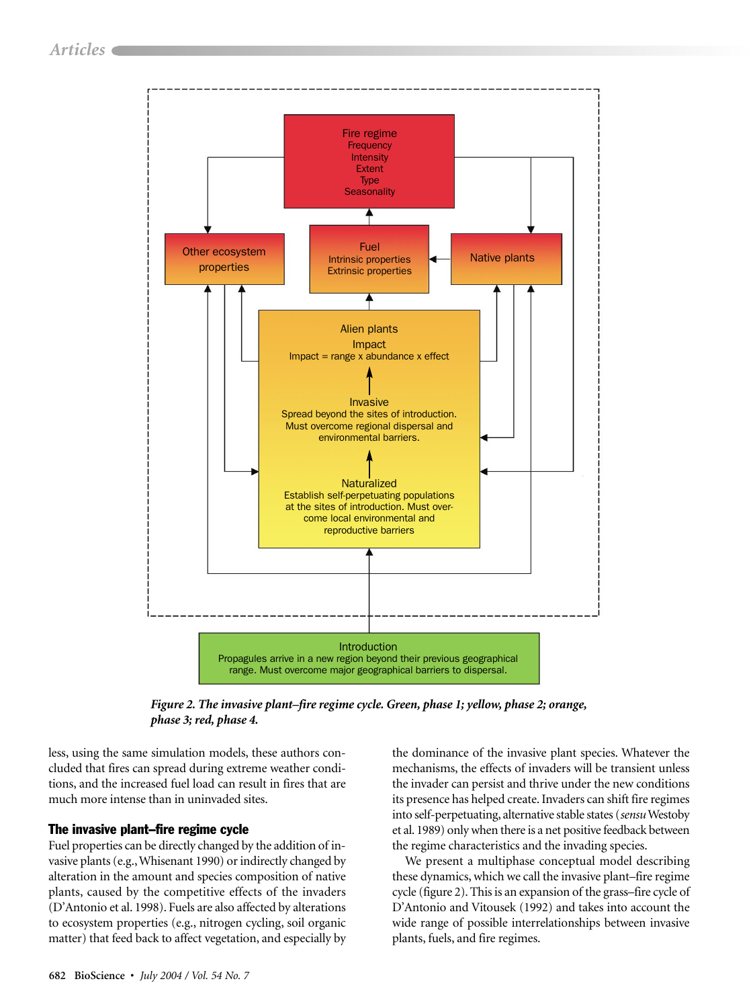

*Figure 2. The invasive plant–fire regime cycle. Green, phase 1; yellow, phase 2; orange, phase 3; red, phase 4.*

less, using the same simulation models, these authors concluded that fires can spread during extreme weather conditions, and the increased fuel load can result in fires that are much more intense than in uninvaded sites.

# The invasive plant–fire regime cycle

Fuel properties can be directly changed by the addition of invasive plants (e.g., Whisenant 1990) or indirectly changed by alteration in the amount and species composition of native plants, caused by the competitive effects of the invaders (D'Antonio et al. 1998). Fuels are also affected by alterations to ecosystem properties (e.g., nitrogen cycling, soil organic matter) that feed back to affect vegetation, and especially by the dominance of the invasive plant species. Whatever the mechanisms, the effects of invaders will be transient unless the invader can persist and thrive under the new conditions its presence has helped create. Invaders can shift fire regimes into self-perpetuating, alternative stable states (*sensu*Westoby et al. 1989) only when there is a net positive feedback between the regime characteristics and the invading species.

We present a multiphase conceptual model describing these dynamics, which we call the invasive plant–fire regime cycle (figure 2). This is an expansion of the grass–fire cycle of D'Antonio and Vitousek (1992) and takes into account the wide range of possible interrelationships between invasive plants, fuels, and fire regimes.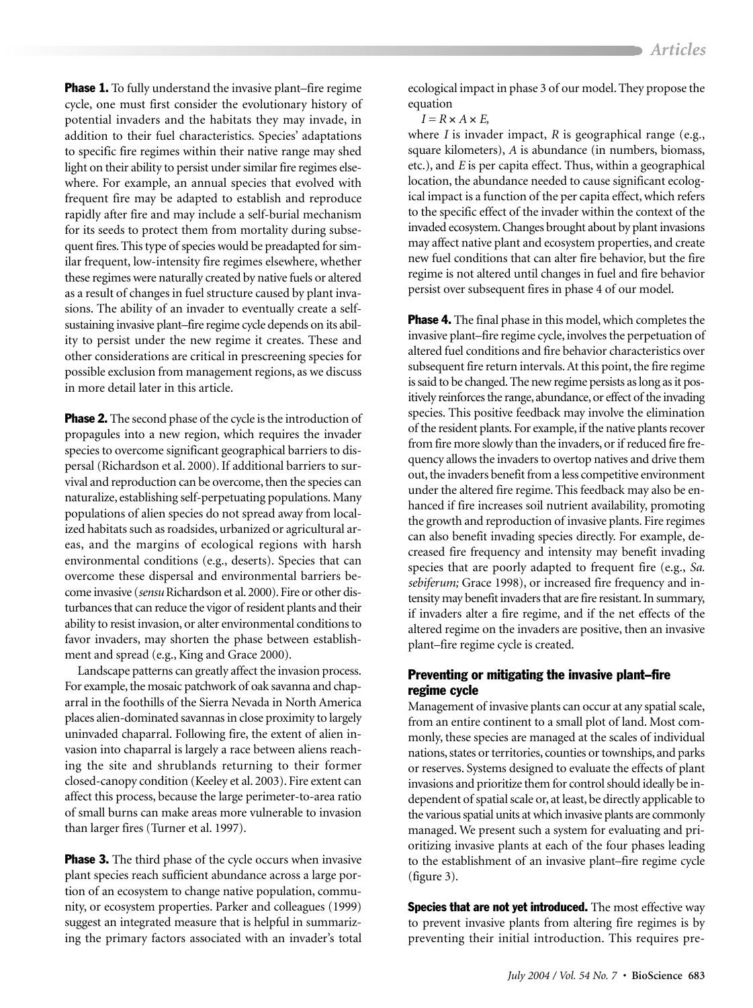**Phase 1.** To fully understand the invasive plant–fire regime cycle, one must first consider the evolutionary history of potential invaders and the habitats they may invade, in addition to their fuel characteristics. Species' adaptations to specific fire regimes within their native range may shed light on their ability to persist under similar fire regimes elsewhere. For example, an annual species that evolved with frequent fire may be adapted to establish and reproduce rapidly after fire and may include a self-burial mechanism for its seeds to protect them from mortality during subsequent fires. This type of species would be preadapted for similar frequent, low-intensity fire regimes elsewhere, whether these regimes were naturally created by native fuels or altered as a result of changes in fuel structure caused by plant invasions. The ability of an invader to eventually create a selfsustaining invasive plant–fire regime cycle depends on its ability to persist under the new regime it creates. These and other considerations are critical in prescreening species for possible exclusion from management regions, as we discuss in more detail later in this article.

Phase 2. The second phase of the cycle is the introduction of propagules into a new region, which requires the invader species to overcome significant geographical barriers to dispersal (Richardson et al. 2000). If additional barriers to survival and reproduction can be overcome, then the species can naturalize, establishing self-perpetuating populations. Many populations of alien species do not spread away from localized habitats such as roadsides, urbanized or agricultural areas, and the margins of ecological regions with harsh environmental conditions (e.g., deserts). Species that can overcome these dispersal and environmental barriers become invasive (*sensu* Richardson et al. 2000). Fire or other disturbances that can reduce the vigor of resident plants and their ability to resist invasion, or alter environmental conditions to favor invaders, may shorten the phase between establishment and spread (e.g., King and Grace 2000).

Landscape patterns can greatly affect the invasion process. For example, the mosaic patchwork of oak savanna and chaparral in the foothills of the Sierra Nevada in North America places alien-dominated savannas in close proximity to largely uninvaded chaparral. Following fire, the extent of alien invasion into chaparral is largely a race between aliens reaching the site and shrublands returning to their former closed-canopy condition (Keeley et al. 2003). Fire extent can affect this process, because the large perimeter-to-area ratio of small burns can make areas more vulnerable to invasion than larger fires (Turner et al. 1997).

**Phase 3.** The third phase of the cycle occurs when invasive plant species reach sufficient abundance across a large portion of an ecosystem to change native population, community, or ecosystem properties. Parker and colleagues (1999) suggest an integrated measure that is helpful in summarizing the primary factors associated with an invader's total ecological impact in phase 3 of our model. They propose the equation

```
I = R \times A \times E
```
where *I* is invader impact, *R* is geographical range (e.g., square kilometers), *A* is abundance (in numbers, biomass, etc.), and *E* is per capita effect. Thus, within a geographical location, the abundance needed to cause significant ecological impact is a function of the per capita effect, which refers to the specific effect of the invader within the context of the invaded ecosystem. Changes brought about by plant invasions may affect native plant and ecosystem properties, and create new fuel conditions that can alter fire behavior, but the fire regime is not altered until changes in fuel and fire behavior persist over subsequent fires in phase 4 of our model.

**Phase 4.** The final phase in this model, which completes the invasive plant–fire regime cycle, involves the perpetuation of altered fuel conditions and fire behavior characteristics over subsequent fire return intervals. At this point, the fire regime is said to be changed. The new regime persists as long as it positively reinforces the range, abundance, or effect of the invading species. This positive feedback may involve the elimination of the resident plants. For example, if the native plants recover from fire more slowly than the invaders, or if reduced fire frequency allows the invaders to overtop natives and drive them out, the invaders benefit from a less competitive environment under the altered fire regime. This feedback may also be enhanced if fire increases soil nutrient availability, promoting the growth and reproduction of invasive plants. Fire regimes can also benefit invading species directly. For example, decreased fire frequency and intensity may benefit invading species that are poorly adapted to frequent fire (e.g., *Sa. sebiferum;* Grace 1998), or increased fire frequency and intensity may benefit invaders that are fire resistant. In summary, if invaders alter a fire regime, and if the net effects of the altered regime on the invaders are positive, then an invasive plant–fire regime cycle is created.

# Preventing or mitigating the invasive plant–fire regime cycle

Management of invasive plants can occur at any spatial scale, from an entire continent to a small plot of land. Most commonly, these species are managed at the scales of individual nations, states or territories, counties or townships, and parks or reserves. Systems designed to evaluate the effects of plant invasions and prioritize them for control should ideally be independent of spatial scale or, at least, be directly applicable to the various spatial units at which invasive plants are commonly managed. We present such a system for evaluating and prioritizing invasive plants at each of the four phases leading to the establishment of an invasive plant–fire regime cycle (figure 3).

Species that are not yet introduced. The most effective way to prevent invasive plants from altering fire regimes is by preventing their initial introduction. This requires pre-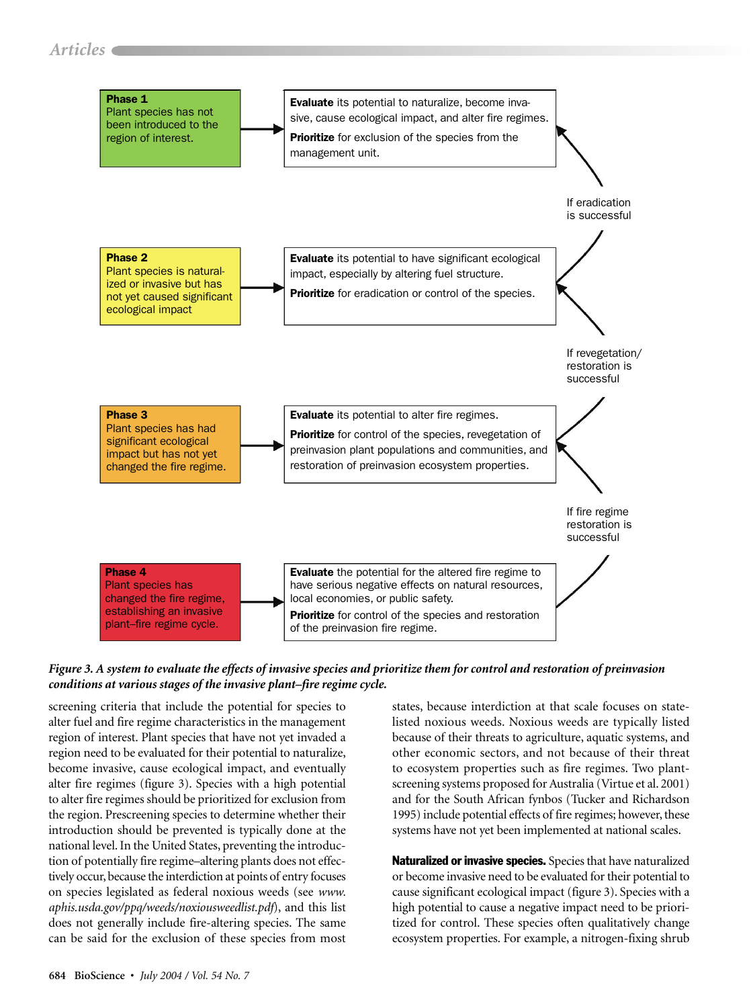

## *Figure 3. A system to evaluate the effects of invasive species and prioritize them for control and restoration of preinvasion conditions at various stages of the invasive plant–fire regime cycle.*

screening criteria that include the potential for species to alter fuel and fire regime characteristics in the management region of interest. Plant species that have not yet invaded a region need to be evaluated for their potential to naturalize, become invasive, cause ecological impact, and eventually alter fire regimes (figure 3). Species with a high potential to alter fire regimes should be prioritized for exclusion from the region. Prescreening species to determine whether their introduction should be prevented is typically done at the national level. In the United States, preventing the introduction of potentially fire regime–altering plants does not effectively occur, because the interdiction at points of entry focuses on species legislated as federal noxious weeds (see *www. aphis.usda.gov/ppq/weeds/noxiousweedlist.pdf*), and this list does not generally include fire-altering species. The same can be said for the exclusion of these species from most states, because interdiction at that scale focuses on statelisted noxious weeds. Noxious weeds are typically listed because of their threats to agriculture, aquatic systems, and other economic sectors, and not because of their threat to ecosystem properties such as fire regimes. Two plantscreening systems proposed for Australia (Virtue et al. 2001) and for the South African fynbos (Tucker and Richardson 1995) include potential effects of fire regimes; however, these systems have not yet been implemented at national scales.

Naturalized or invasive species. Species that have naturalized or become invasive need to be evaluated for their potential to cause significant ecological impact (figure 3). Species with a high potential to cause a negative impact need to be prioritized for control. These species often qualitatively change ecosystem properties. For example, a nitrogen-fixing shrub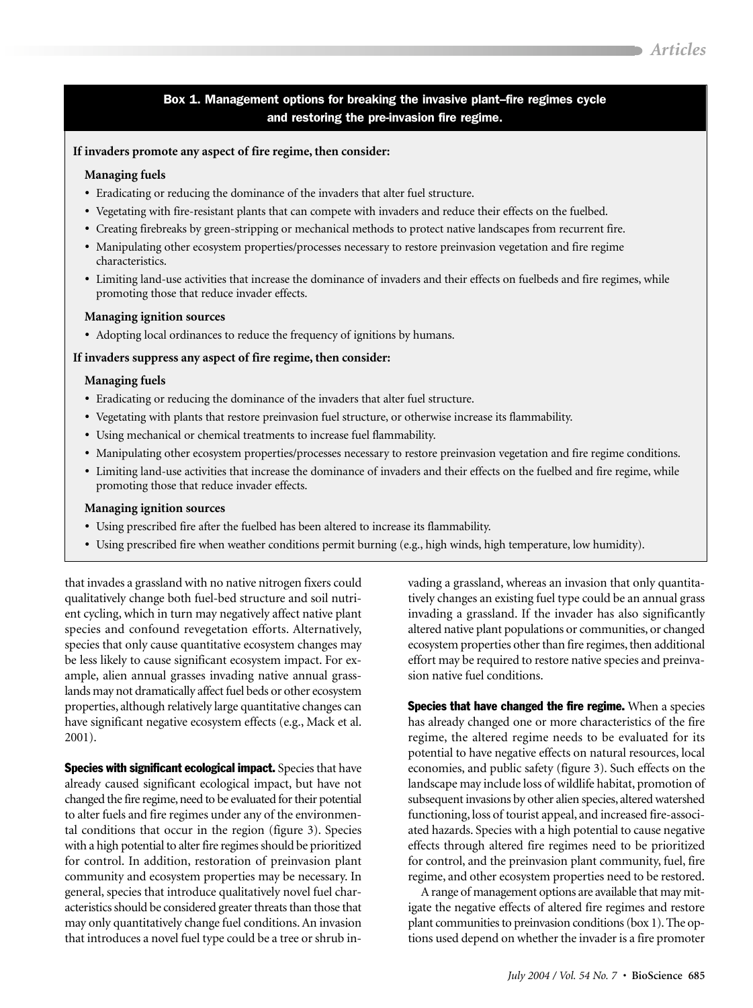# Box 1. Management options for breaking the invasive plant–fire regimes cycle and restoring the pre-invasion fire regime.

#### **If invaders promote any aspect of fire regime, then consider:**

#### **Managing fuels**

- Eradicating or reducing the dominance of the invaders that alter fuel structure.
- Vegetating with fire-resistant plants that can compete with invaders and reduce their effects on the fuelbed.
- Creating firebreaks by green-stripping or mechanical methods to protect native landscapes from recurrent fire.
- Manipulating other ecosystem properties/processes necessary to restore preinvasion vegetation and fire regime characteristics.
- Limiting land-use activities that increase the dominance of invaders and their effects on fuelbeds and fire regimes, while promoting those that reduce invader effects.

#### **Managing ignition sources**

• Adopting local ordinances to reduce the frequency of ignitions by humans.

#### **If invaders suppress any aspect of fire regime, then consider:**

#### **Managing fuels**

- Eradicating or reducing the dominance of the invaders that alter fuel structure.
- Vegetating with plants that restore preinvasion fuel structure, or otherwise increase its flammability.
- Using mechanical or chemical treatments to increase fuel flammability.
- Manipulating other ecosystem properties/processes necessary to restore preinvasion vegetation and fire regime conditions.
- Limiting land-use activities that increase the dominance of invaders and their effects on the fuelbed and fire regime, while promoting those that reduce invader effects.

#### **Managing ignition sources**

- Using prescribed fire after the fuelbed has been altered to increase its flammability.
- Using prescribed fire when weather conditions permit burning (e.g., high winds, high temperature, low humidity).

that invades a grassland with no native nitrogen fixers could qualitatively change both fuel-bed structure and soil nutrient cycling, which in turn may negatively affect native plant species and confound revegetation efforts. Alternatively, species that only cause quantitative ecosystem changes may be less likely to cause significant ecosystem impact. For example, alien annual grasses invading native annual grasslands may not dramatically affect fuel beds or other ecosystem properties, although relatively large quantitative changes can have significant negative ecosystem effects (e.g., Mack et al. 2001).

Species with significant ecological impact. Species that have already caused significant ecological impact, but have not changed the fire regime, need to be evaluated for their potential to alter fuels and fire regimes under any of the environmental conditions that occur in the region (figure 3). Species with a high potential to alter fire regimes should be prioritized for control. In addition, restoration of preinvasion plant community and ecosystem properties may be necessary. In general, species that introduce qualitatively novel fuel characteristics should be considered greater threats than those that may only quantitatively change fuel conditions. An invasion that introduces a novel fuel type could be a tree or shrub invading a grassland, whereas an invasion that only quantitatively changes an existing fuel type could be an annual grass invading a grassland. If the invader has also significantly altered native plant populations or communities, or changed ecosystem properties other than fire regimes, then additional effort may be required to restore native species and preinvasion native fuel conditions.

Species that have changed the fire regime. When a species has already changed one or more characteristics of the fire regime, the altered regime needs to be evaluated for its potential to have negative effects on natural resources, local economies, and public safety (figure 3). Such effects on the landscape may include loss of wildlife habitat, promotion of subsequent invasions by other alien species, altered watershed functioning, loss of tourist appeal, and increased fire-associated hazards. Species with a high potential to cause negative effects through altered fire regimes need to be prioritized for control, and the preinvasion plant community, fuel, fire regime, and other ecosystem properties need to be restored.

A range of management options are available that may mitigate the negative effects of altered fire regimes and restore plant communities to preinvasion conditions (box 1). The options used depend on whether the invader is a fire promoter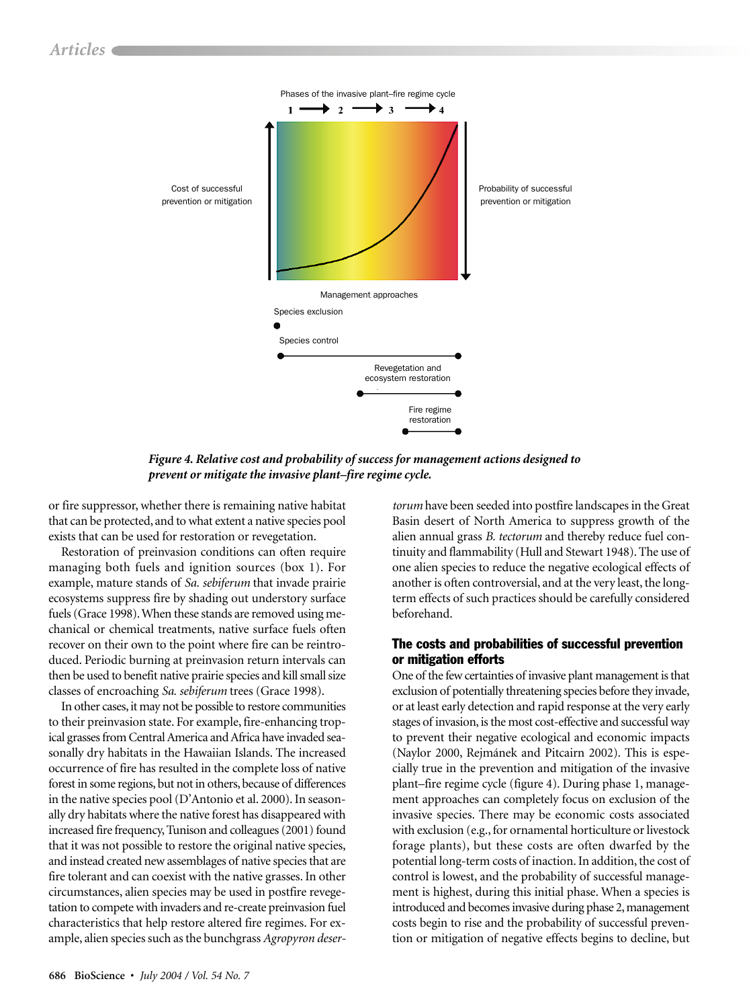

*Figure 4. Relative cost and probability of success for management actions designed to prevent or mitigate the invasive plant–fire regime cycle.*

or fire suppressor, whether there is remaining native habitat that can be protected, and to what extent a native species pool exists that can be used for restoration or revegetation.

Restoration of preinvasion conditions can often require managing both fuels and ignition sources (box 1). For example, mature stands of *Sa. sebiferum* that invade prairie ecosystems suppress fire by shading out understory surface fuels (Grace 1998).When these stands are removed using mechanical or chemical treatments, native surface fuels often recover on their own to the point where fire can be reintroduced. Periodic burning at preinvasion return intervals can then be used to benefit native prairie species and kill small size classes of encroaching *Sa. sebiferum* trees (Grace 1998).

In other cases, it may not be possible to restore communities to their preinvasion state. For example, fire-enhancing tropical grasses from Central America and Africa have invaded seasonally dry habitats in the Hawaiian Islands. The increased occurrence of fire has resulted in the complete loss of native forest in some regions, but not in others, because of differences in the native species pool (D'Antonio et al. 2000). In seasonally dry habitats where the native forest has disappeared with increased fire frequency, Tunison and colleagues (2001) found that it was not possible to restore the original native species, and instead created new assemblages of native species that are fire tolerant and can coexist with the native grasses. In other circumstances, alien species may be used in postfire revegetation to compete with invaders and re-create preinvasion fuel characteristics that help restore altered fire regimes. For example, alien species such as the bunchgrass *Agropyron deser-*

*torum* have been seeded into postfire landscapes in the Great Basin desert of North America to suppress growth of the alien annual grass *B. tectorum* and thereby reduce fuel continuity and flammability (Hull and Stewart 1948). The use of one alien species to reduce the negative ecological effects of another is often controversial, and at the very least, the longterm effects of such practices should be carefully considered beforehand.

## The costs and probabilities of successful prevention or mitigation efforts

One of the few certainties of invasive plant management is that exclusion of potentially threatening species before they invade, or at least early detection and rapid response at the very early stages of invasion, is the most cost-effective and successful way to prevent their negative ecological and economic impacts (Naylor 2000, Rejmánek and Pitcairn 2002). This is especially true in the prevention and mitigation of the invasive plant–fire regime cycle (figure 4). During phase 1, management approaches can completely focus on exclusion of the invasive species. There may be economic costs associated with exclusion (e.g., for ornamental horticulture or livestock forage plants), but these costs are often dwarfed by the potential long-term costs of inaction. In addition, the cost of control is lowest, and the probability of successful management is highest, during this initial phase. When a species is introduced and becomes invasive during phase 2, management costs begin to rise and the probability of successful prevention or mitigation of negative effects begins to decline, but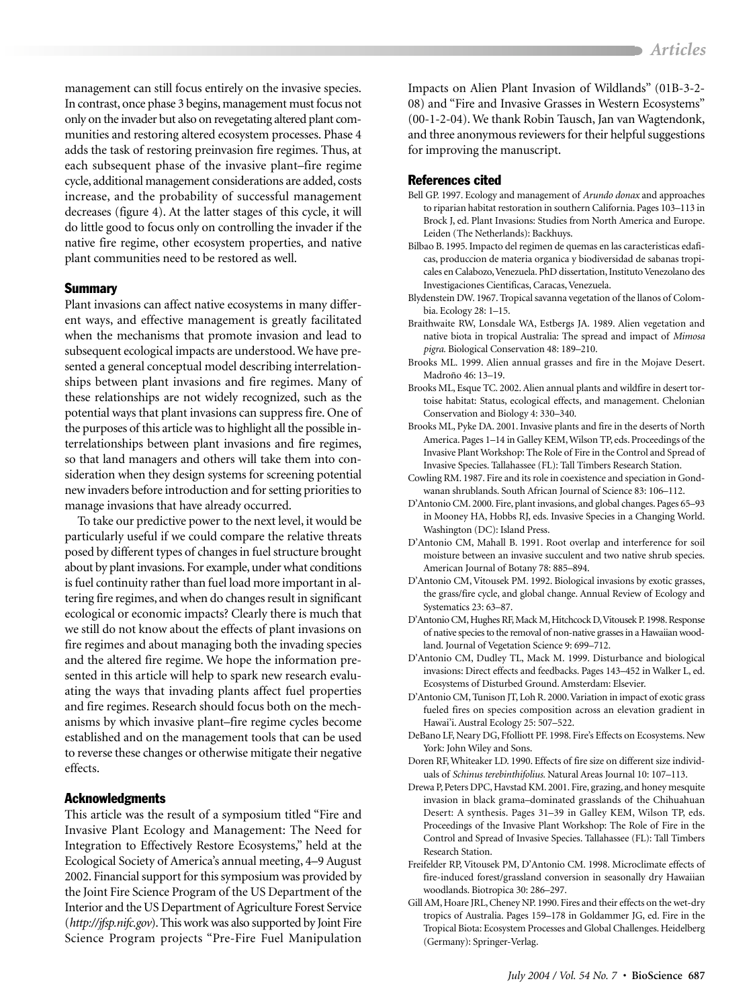management can still focus entirely on the invasive species. In contrast, once phase 3 begins, management must focus not only on the invader but also on revegetating altered plant communities and restoring altered ecosystem processes. Phase 4 adds the task of restoring preinvasion fire regimes. Thus, at each subsequent phase of the invasive plant–fire regime cycle, additional management considerations are added, costs increase, and the probability of successful management decreases (figure 4). At the latter stages of this cycle, it will do little good to focus only on controlling the invader if the native fire regime, other ecosystem properties, and native plant communities need to be restored as well.

#### Summary

Plant invasions can affect native ecosystems in many different ways, and effective management is greatly facilitated when the mechanisms that promote invasion and lead to subsequent ecological impacts are understood. We have presented a general conceptual model describing interrelationships between plant invasions and fire regimes. Many of these relationships are not widely recognized, such as the potential ways that plant invasions can suppress fire. One of the purposes of this article was to highlight all the possible interrelationships between plant invasions and fire regimes, so that land managers and others will take them into consideration when they design systems for screening potential new invaders before introduction and for setting priorities to manage invasions that have already occurred.

To take our predictive power to the next level, it would be particularly useful if we could compare the relative threats posed by different types of changes in fuel structure brought about by plant invasions. For example, under what conditions is fuel continuity rather than fuel load more important in altering fire regimes, and when do changes result in significant ecological or economic impacts? Clearly there is much that we still do not know about the effects of plant invasions on fire regimes and about managing both the invading species and the altered fire regime. We hope the information presented in this article will help to spark new research evaluating the ways that invading plants affect fuel properties and fire regimes. Research should focus both on the mechanisms by which invasive plant–fire regime cycles become established and on the management tools that can be used to reverse these changes or otherwise mitigate their negative effects.

## Acknowledgments

This article was the result of a symposium titled "Fire and Invasive Plant Ecology and Management: The Need for Integration to Effectively Restore Ecosystems," held at the Ecological Society of America's annual meeting, 4–9 August 2002. Financial support for this symposium was provided by the Joint Fire Science Program of the US Department of the Interior and the US Department of Agriculture Forest Service (*http://jfsp.nifc.gov*). This work was also supported by Joint Fire Science Program projects "Pre-Fire Fuel Manipulation Impacts on Alien Plant Invasion of Wildlands" (01B-3-2- 08) and "Fire and Invasive Grasses in Western Ecosystems" (00-1-2-04). We thank Robin Tausch, Jan van Wagtendonk, and three anonymous reviewers for their helpful suggestions for improving the manuscript.

## References cited

- Bell GP. 1997. Ecology and management of *Arundo donax* and approaches to riparian habitat restoration in southern California. Pages 103–113 in Brock J, ed. Plant Invasions: Studies from North America and Europe. Leiden (The Netherlands): Backhuys.
- Bilbao B. 1995. Impacto del regimen de quemas en las caracteristicas edaficas, produccion de materia organica y biodiversidad de sabanas tropicales en Calabozo, Venezuela. PhD dissertation, Instituto Venezolano des Investigaciones Cientificas, Caracas, Venezuela.
- Blydenstein DW. 1967. Tropical savanna vegetation of the llanos of Colombia. Ecology 28: 1–15.
- Braithwaite RW, Lonsdale WA, Estbergs JA. 1989. Alien vegetation and native biota in tropical Australia: The spread and impact of *Mimosa pigra.* Biological Conservation 48: 189–210.
- Brooks ML. 1999. Alien annual grasses and fire in the Mojave Desert. Madroño 46: 13–19.
- Brooks ML, Esque TC. 2002. Alien annual plants and wildfire in desert tortoise habitat: Status, ecological effects, and management. Chelonian Conservation and Biology 4: 330–340.
- Brooks ML, Pyke DA. 2001. Invasive plants and fire in the deserts of North America. Pages 1–14 in Galley KEM, Wilson TP, eds. Proceedings of the Invasive Plant Workshop: The Role of Fire in the Control and Spread of Invasive Species. Tallahassee (FL): Tall Timbers Research Station.
- Cowling RM. 1987. Fire and its role in coexistence and speciation in Gondwanan shrublands. South African Journal of Science 83: 106–112.
- D'Antonio CM. 2000. Fire, plant invasions, and global changes. Pages 65–93 in Mooney HA, Hobbs RJ, eds. Invasive Species in a Changing World. Washington (DC): Island Press.
- D'Antonio CM, Mahall B. 1991. Root overlap and interference for soil moisture between an invasive succulent and two native shrub species. American Journal of Botany 78: 885–894.
- D'Antonio CM, Vitousek PM. 1992. Biological invasions by exotic grasses, the grass/fire cycle, and global change. Annual Review of Ecology and Systematics 23: 63–87.
- D'Antonio CM, Hughes RF, Mack M, Hitchcock D,Vitousek P. 1998. Response of native species to the removal of non-native grasses in a Hawaiian woodland. Journal of Vegetation Science 9: 699–712.
- D'Antonio CM, Dudley TL, Mack M. 1999. Disturbance and biological invasions: Direct effects and feedbacks. Pages 143–452 in Walker L, ed. Ecosystems of Disturbed Ground. Amsterdam: Elsevier.
- D'Antonio CM, Tunison JT, Loh R. 2000. Variation in impact of exotic grass fueled fires on species composition across an elevation gradient in Hawai'i. Austral Ecology 25: 507–522.
- DeBano LF, Neary DG, Ffolliott PF. 1998. Fire's Effects on Ecosystems. New York: John Wiley and Sons.
- Doren RF, Whiteaker LD. 1990. Effects of fire size on different size individuals of *Schinus terebinthifolius.* Natural Areas Journal 10: 107–113.
- Drewa P, Peters DPC, Havstad KM. 2001. Fire, grazing, and honey mesquite invasion in black grama–dominated grasslands of the Chihuahuan Desert: A synthesis. Pages 31–39 in Galley KEM, Wilson TP, eds. Proceedings of the Invasive Plant Workshop: The Role of Fire in the Control and Spread of Invasive Species. Tallahassee (FL): Tall Timbers Research Station.
- Freifelder RP, Vitousek PM, D'Antonio CM. 1998. Microclimate effects of fire-induced forest/grassland conversion in seasonally dry Hawaiian woodlands. Biotropica 30: 286–297.
- Gill AM, Hoare JRL, Cheney NP. 1990. Fires and their effects on the wet-dry tropics of Australia. Pages 159–178 in Goldammer JG, ed. Fire in the Tropical Biota: Ecosystem Processes and Global Challenges. Heidelberg (Germany): Springer-Verlag.